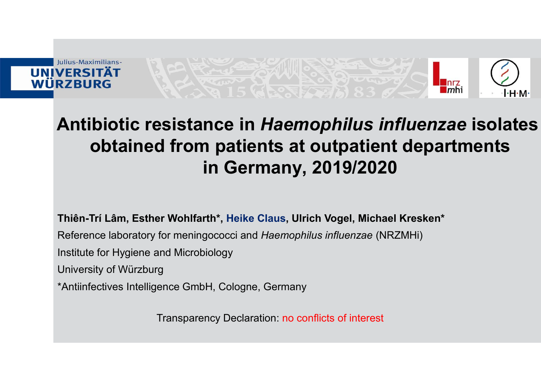

### MERSITÄT<br>RZBURG<br>Antibiotic resistance in Haemophilus influenzae isolates<br>obtained from patients at outpatient departments<br>in Germany 2019/2020 obtained from patients at outpatient departments in Germany, 2019/2020 VERSITÄT<br>RZBURG<br>Antibiotic resistance in *Haemophilus influenzae* isolate<br>obtained from patients at outpatient departments<br>in Germany, 2019/2020<br>Thiên-Trí Lâm, Esther Wohlfarth\*, Heike Claus, Ulrich Vogel, Michael Kresken\* REFITAT<br>REFITAT<br>**Antibiotic resistance in Haemophilus influenzae isolates**<br>**obtained from patients at outpatient departments**<br>in Germany, 2019/2020<br>Thiên-Tri Lâm, Esther Wohlfarth\*, Heike Claus, Ulrich Vogel, Michael Kresk **Antibiotic resistance in Haemophilus in Christian Cobtained from patients at outpatients in Germany, 2019/2021**<br> **In Germany, 2019/2021**<br>
Thiên-Tri Lâm, Esther Wohlfarth\*, Heike Claus, Ulrich Vogel, Micha<br>
Reference labor **Antibiotic resistance in Haemop**<br> **obtained from patients at ou**<br> **in Germany, 20**<br>
Thiên-Trí Lâm, Esther Wohlfarth\*, Heike Claus, Ulrich V<br>
Reference laboratory for meningococci and Haemophilus is<br>
Institute for Hygiene Antibiotic resistance in Haemophilus infl<br>
obtained from patients at outpatient of<br>
in Germany, 2019/2020<br>
Thiên-Trí Lâm, Esther Wohlfarth\*, Heike Claus, Ulrich Vogel, Michael K<br>
Reference laboratory for meningococci and H

Transparency Declaration: no conflicts of interest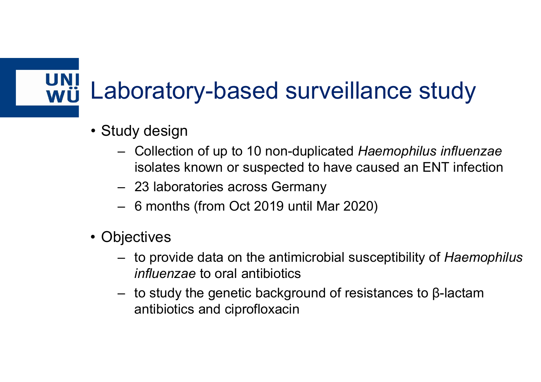# Laboratory-based surveillance study<br>• <sub>Study design</sub> Laboratory-based su<br>
• Study design<br>
– Collection of up to 10 non-dup<br>
isolates known or suspected t<br>
– 23 laboratories across Germa<br>
– 6 months (from Oct 2019 until<br>
• Objectives<br>
– to provide data on the antimic<br> *influe* Laboratory-based su<br>• Study design<br>– Collection of up to 10 non-dup<br>isolates known or suspected t **boratory-based surveillance s**<br>
udy design<br>
- Collection of up to 10 non-duplicated *Haemophilt*<br>
isolates known or suspected to have caused an I<br>
- 23 laboratories across Germany<br>
- 6 months (from Oct 2019 until Mar 2020 **boratory-based surveillan<br>
udy design**<br>
- Collection of up to 10 non-duplicated *Hae*<br>
isolates known or suspected to have cau<br>
- 23 laboratories across Germany<br>
- 6 months (from Oct 2019 until Mar 2020)<br>
pjectives

- 
- boratory-based surveillance study<br>
udy design<br>
 Collection of up to 10 non-duplicated *Haemophilus influenzae*<br>
 23 laboratories across Germany isolates known or suspected to have caused an ENT infection
	-
	-
- 
- LOCT ATOT y-DASEU SUI VEITIANTCE STUU y<br>
udy design<br>
 Collection of up to 10 non-duplicated *Haemophilus influenzae*<br>
isolates known or suspected to have caused an ENT infection<br>
 23 laboratories across Germany<br>
 6 mo influenzae to oral antibiotics αdy design<br>
- Collection of up to 10 non-duplicated *Haemophilus influenzae*<br>
isolates known or suspected to have caused an ENT infection<br>
- 23 laboratories across Germany<br>
- 6 months (from Oct 2019 until Mar 2020)<br>
bject
	- antibiotics and ciprofloxacin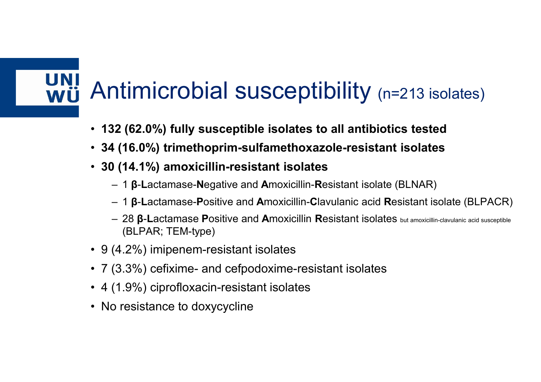## Antimicrobial susceptibility <sub>(n=213 isolates)</sub><br>• 132 (62.0%) fully susceptible isolates to all antibiotics tested Antimicrobial susceptibility <sub>(n=213 isolates)</sub><br>• 132 (62.0%) fully susceptible isolates to all antibiotics tested<br>• 34 (16.0%) trimethoprim-sulfamethoxazole-resistant isolates<br>• 30 (14.1%) amoxicillin-resistant isolates Antimicrobial susceptibility (n=213 isolates)<br>• 132 (62.0%) fully susceptible isolates to all antibiotics tested<br>• 34 (16.0%) trimethoprim-sulfamethoxazole-resistant isolates<br>• 30 (14.1%) amoxicillin-resistant isolates<br>– Antimicrobial susceptibility (n=213 isolates)<br>• 132 (62.0%) fully susceptible isolates to all antibiotics tested<br>• 34 (16.0%) trimethoprim-sulfamethoxazole-resistant isolates<br>• 30 (14.1%) amoxicillin-resistant isolates<br>– 1 **imicrobial susceptibility** (n=213 isolates)<br>12 (62.0%) fully susceptible isolates to all antibiotics tested<br>1 (16.0%) trimethoprim-sulfamethoxazole-resistant isolates<br>1 (14.1%) amoxicillin-resistant isolates<br>- 1 β-Lact 1 **imicrobial susceptiblility** (n=213 isolates)<br>
12 (62.0%) fully susceptible isolates to all antibiotics tested<br>
1 (16.0%) trimethoprim-sulfamethoxazole-resistant isolates<br>
1 14.1%) amoxicillin-resistant isolates<br>
- 1 β-1 **(16.0%)** fully susceptible isolates to all antibiotics tested<br>
1 (16.0%) trimethoprim-sulfamethoxazole-resistant isolates<br>
1 (14.1%) amoxicillin-resistant isolates<br>
- 1 β-Lactamase-Negative and Amoxicillin-Resistant is

- 
- 
- -
	-
- (BLPAR; TEM-type) **Antimicrobial SUSceptibility** (n=213 isolate<br>
• 132 (62.0%) fully susceptible isolates to all antibiotics tested<br>
• 34 (16.0%) trimethoprim-sulfamethoxazole-resistant isolates<br>
• 30 (14.1%) amoxicillin-resistant isolates • 132 (62.0%) fully susceptible isolates to all antibiotics tested<br>
• 34 (16.0%) trimethoprim-sulfamethoxazole-resistant isolates<br>
• 30 (14.1%) amoxicillin-resistant isolates<br>
– 1 β-Lactamase-Positive and Amoxicillin-Re • 132 (62.0%) fully susceptible isolates to all antibiotics tested<br>
• 34 (16.0%) trimethoprim-sulfamethoxazole-resistant isolates<br>
• 30 (14.1%) amoxicillin-resistant isolates<br>
– 1 β-Lactamase-Negative and Amoxicillin-Res • 34 (16.0%) trimethoprim-sulfamethoxazole-resistant i<br>
• 30 (14.1%) amoxicillin-resistant isolates<br>
– 1 β-Lactamase-Negative and Amoxicillin-Resistant isolate (E<br>
– 1 β-Lactamase-Positive and Amoxicillin-Clavulanic acid
- 
- 
- 
-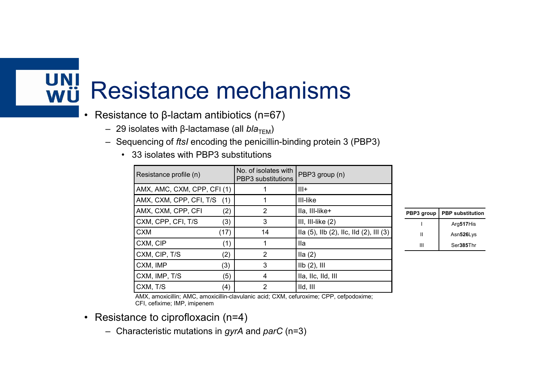## Resistance mechanisms **Resistance mechanisms**<br>• Resistance to β-lactam antibiotics (n=67)<br>- 29 isolates with β-lactamase (all *bla*<sub>TEM</sub>)<br>- Sequencing of *ftsl* encoding the penicillin-binding protein 3 (PBP3)<br>- 33 isolates with PBP3 substitu Lesistance to β-lactam antibiotics (n=67)<br>
– 29 isolates with β-lactamase (all *bla<sub>TEM</sub>)*<br>
– Sequencing of *fts!* encoding the penicillin-binding protein 3 (PBP3)<br>
– Sequencing of *fts!* encoding the penicillin-binding Experiment of  $\beta$ -lactam antibiotics (n=67)<br>
– 29 isolates with  $\beta$ -lactamase (all *bla*<sub>TEM</sub>)<br>
– Sequencing of *ftsI* encoding the penicillin-binding protein 3 (PBP3)<br>
– 33 isolates with PBP3 substitutions<br>
Resistance

- -
	- -

| <b>Resistance mechanisms</b>                                                             |      |                                                   |                                                                                        |              |                         |  |
|------------------------------------------------------------------------------------------|------|---------------------------------------------------|----------------------------------------------------------------------------------------|--------------|-------------------------|--|
|                                                                                          |      |                                                   |                                                                                        |              |                         |  |
|                                                                                          |      |                                                   |                                                                                        |              |                         |  |
|                                                                                          |      |                                                   |                                                                                        |              |                         |  |
|                                                                                          |      |                                                   |                                                                                        |              |                         |  |
|                                                                                          |      |                                                   |                                                                                        |              |                         |  |
| • Resistance to β-lactam antibiotics (n=67)                                              |      |                                                   |                                                                                        |              |                         |  |
| - 29 isolates with β-lactamase (all bla <sub>TEM</sub> )                                 |      |                                                   |                                                                                        |              |                         |  |
| - Sequencing of ftsl encoding the penicillin-binding protein 3 (PBP3)                    |      |                                                   |                                                                                        |              |                         |  |
| $\bullet$                                                                                |      |                                                   |                                                                                        |              |                         |  |
| 33 isolates with PBP3 substitutions                                                      |      |                                                   |                                                                                        |              |                         |  |
| Resistance profile (n)                                                                   |      | No. of isolates with<br><b>PBP3</b> substitutions | PBP3 group (n)                                                                         |              |                         |  |
| AMX, AMC, CXM, CPP, CFI (1)                                                              |      | 1                                                 | $III+$                                                                                 |              |                         |  |
| AMX, CXM, CPP, CFI, T/S                                                                  | (1)  | 1                                                 | <b>III-like</b>                                                                        |              |                         |  |
|                                                                                          |      |                                                   |                                                                                        |              |                         |  |
| AMX, CXM, CPP, CFI                                                                       | (2)  | $\overline{2}$                                    | Ila, III-like+                                                                         | PBP3 group   | <b>PBP</b> substitution |  |
| CXM, CPP, CFI, T/S                                                                       | (3)  | 3                                                 | III, III-like $(2)$                                                                    |              | Arg517His               |  |
| <b>CXM</b>                                                                               | (17) | 14                                                | lla (5), llb (2), llc, lld (2), lll (3)                                                | $\mathbf{I}$ | Asn526Lys               |  |
| CXM, CIP                                                                                 | (1)  | $\mathbf{1}$                                      | <b>Ila</b>                                                                             | Ш            | Ser385Thr               |  |
| CXM, CIP, T/S                                                                            | (2)  | 2                                                 | lla(2)                                                                                 |              |                         |  |
| CXM, IMP                                                                                 | (3)  | 3                                                 | $IIb(2)$ , $III$                                                                       |              |                         |  |
| CXM, IMP, T/S                                                                            | (5)  | 4                                                 | Ila, Ilc, Ild, Ill                                                                     |              |                         |  |
| CXM, T/S                                                                                 | (4)  | $\overline{2}$                                    | IId, III                                                                               |              |                         |  |
| CFI, cefixime; IMP, imipenem                                                             |      |                                                   | AMX, amoxicillin; AMC, amoxicillin-clavulanic acid; CXM, cefuroxime; CPP, cefpodoxime; |              |                         |  |
|                                                                                          |      |                                                   |                                                                                        |              |                         |  |
| • Resistance to ciprofloxacin (n=4)<br>- Characteristic mutations in gyrA and parC (n=3) |      |                                                   |                                                                                        |              |                         |  |

| PBP3 group                         | <b>PBP</b> substitution |
|------------------------------------|-------------------------|
| $\overline{\phantom{a}}$           | Arg517His               |
| $\ensuremath{\mathsf{II}}$         | Asn526Lys               |
| $\ensuremath{\mathsf{III}}\xspace$ | Ser385Thr               |
|                                    |                         |
|                                    |                         |

- -